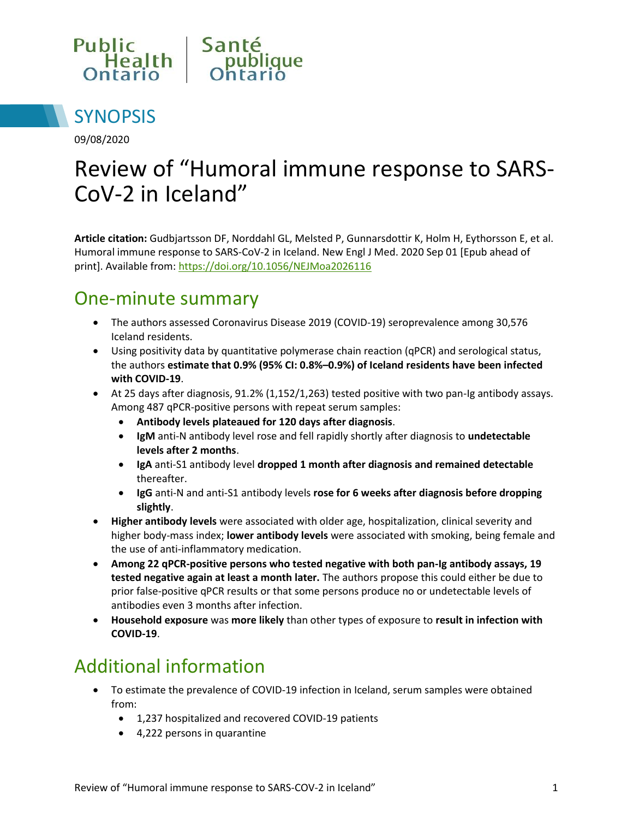



09/08/2020

# Review of "Humoral immune response to SARS-CoV-2 in Iceland"

**Article citation:** Gudbjartsson DF, Norddahl GL, Melsted P, Gunnarsdottir K, Holm H, Eythorsson E, et al. Humoral immune response to SARS-CoV-2 in Iceland. New Engl J Med. 2020 Sep 01 [Epub ahead of print]. Available from[: https://doi.org/10.1056/NEJMoa2026116](https://doi.org/10.1056/NEJMoa2026116)

#### One-minute summary

- The authors assessed Coronavirus Disease 2019 (COVID-19) seroprevalence among 30,576 Iceland residents.
- Using positivity data by quantitative polymerase chain reaction (qPCR) and serological status, the authors **estimate that 0.9% (95% CI: 0.8%–0.9%) of Iceland residents have been infected with COVID-19**.
- At 25 days after diagnosis, 91.2% (1,152/1,263) tested positive with two pan-Ig antibody assays. Among 487 qPCR-positive persons with repeat serum samples:
	- **Antibody levels plateaued for 120 days after diagnosis**.
	- **IgM** anti-N antibody level rose and fell rapidly shortly after diagnosis to **undetectable levels after 2 months**.
	- **IgA** anti-S1 antibody level **dropped 1 month after diagnosis and remained detectable** thereafter.
	- **IgG** anti-N and anti-S1 antibody levels **rose for 6 weeks after diagnosis before dropping slightly**.
- **Higher antibody levels** were associated with older age, hospitalization, clinical severity and higher body-mass index; **lower antibody levels** were associated with smoking, being female and the use of anti-inflammatory medication.
- **Among 22 qPCR-positive persons who tested negative with both pan-Ig antibody assays, 19 tested negative again at least a month later.** The authors propose this could either be due to prior false-positive qPCR results or that some persons produce no or undetectable levels of antibodies even 3 months after infection.
- **Household exposure** was **more likely** than other types of exposure to **result in infection with COVID-19**.

## Additional information

- To estimate the prevalence of COVID-19 infection in Iceland, serum samples were obtained from:
	- 1,237 hospitalized and recovered COVID-19 patients
	- 4,222 persons in quarantine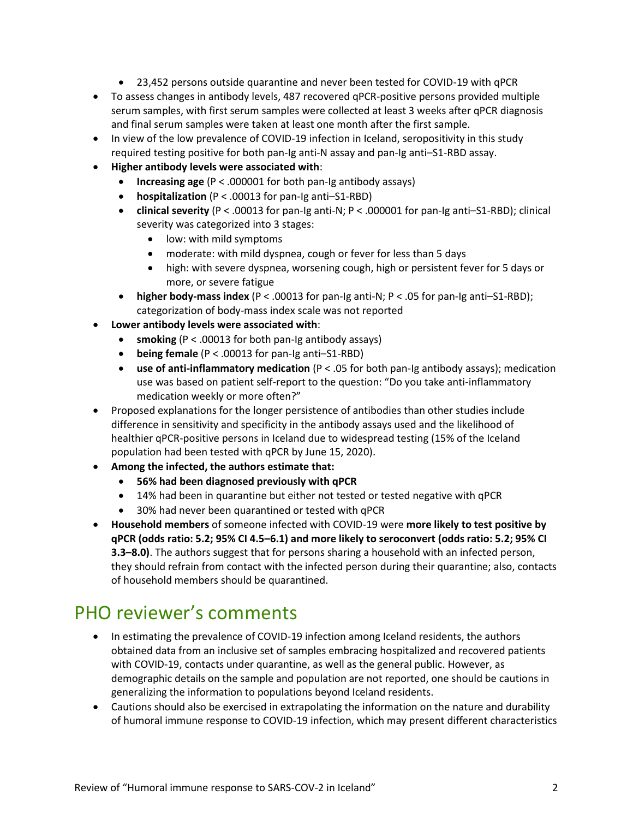- 23,452 persons outside quarantine and never been tested for COVID-19 with qPCR
- To assess changes in antibody levels, 487 recovered qPCR-positive persons provided multiple serum samples, with first serum samples were collected at least 3 weeks after qPCR diagnosis and final serum samples were taken at least one month after the first sample.
- In view of the low prevalence of COVID-19 infection in Iceland, seropositivity in this study required testing positive for both pan-Ig anti-N assay and pan-Ig anti–S1-RBD assay.
- **Higher antibody levels were associated with**:
	- **Increasing age** (P < .000001 for both pan-Ig antibody assays)
	- **hospitalization** (P < .00013 for pan-Ig anti–S1-RBD)
	- **clinical severity** (P < .00013 for pan-Ig anti-N; P < .000001 for pan-Ig anti–S1-RBD); clinical severity was categorized into 3 stages:
		- low: with mild symptoms
		- moderate: with mild dyspnea, cough or fever for less than 5 days
		- high: with severe dyspnea, worsening cough, high or persistent fever for 5 days or more, or severe fatigue
	- **higher body-mass index** (P < .00013 for pan-Ig anti-N; P < .05 for pan-Ig anti–S1-RBD); categorization of body-mass index scale was not reported
- **Lower antibody levels were associated with**:
	- **smoking** (P < .00013 for both pan-Ig antibody assays)
	- **being female** (P < .00013 for pan-Ig anti–S1-RBD)
	- **use of anti-inflammatory medication** (P < .05 for both pan-Ig antibody assays); medication use was based on patient self-report to the question: "Do you take anti-inflammatory medication weekly or more often?"
- Proposed explanations for the longer persistence of antibodies than other studies include difference in sensitivity and specificity in the antibody assays used and the likelihood of healthier qPCR-positive persons in Iceland due to widespread testing (15% of the Iceland population had been tested with qPCR by June 15, 2020).
- **Among the infected, the authors estimate that:** 
	- **56% had been diagnosed previously with qPCR**
	- 14% had been in quarantine but either not tested or tested negative with qPCR
	- 30% had never been quarantined or tested with qPCR
- **Household members** of someone infected with COVID-19 were **more likely to test positive by qPCR (odds ratio: 5.2; 95% CI 4.5–6.1) and more likely to seroconvert (odds ratio: 5.2; 95% CI 3.3–8.0)**. The authors suggest that for persons sharing a household with an infected person, they should refrain from contact with the infected person during their quarantine; also, contacts of household members should be quarantined.

### PHO reviewer's comments

- In estimating the prevalence of COVID-19 infection among Iceland residents, the authors obtained data from an inclusive set of samples embracing hospitalized and recovered patients with COVID-19, contacts under quarantine, as well as the general public. However, as demographic details on the sample and population are not reported, one should be cautions in generalizing the information to populations beyond Iceland residents.
- Cautions should also be exercised in extrapolating the information on the nature and durability of humoral immune response to COVID-19 infection, which may present different characteristics